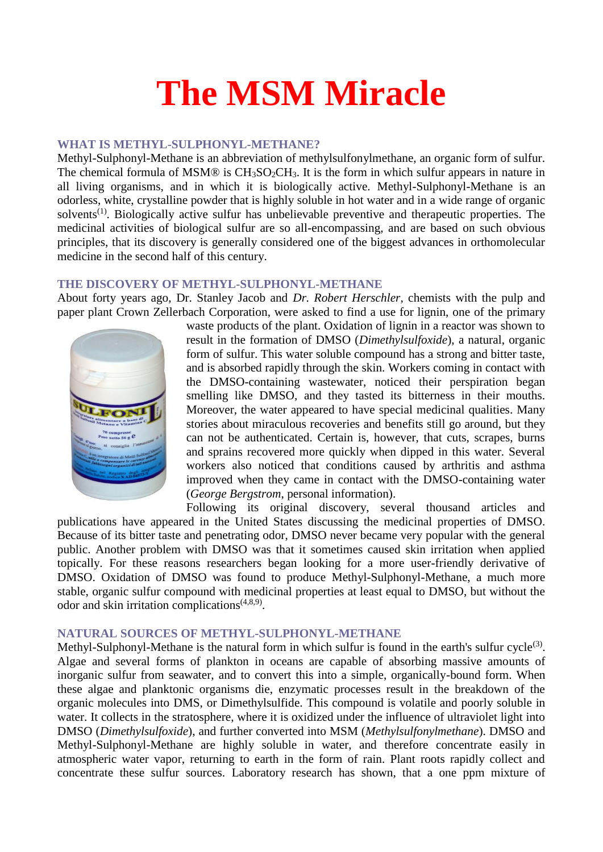# **The MSM Miracle**

#### **WHAT IS METHYL-SULPHONYL-METHANE?**

Methyl-Sulphonyl-Methane is an abbreviation of methylsulfonylmethane, an organic form of sulfur. The chemical formula of MSM® is  $CH_3SO_2CH_3$ . It is the form in which sulfur appears in nature in all living organisms, and in which it is biologically active. Methyl-Sulphonyl-Methane is an odorless, white, crystalline powder that is highly soluble in hot water and in a wide range of organic solvents<sup>(1)</sup>. Biologically active sulfur has unbelievable preventive and therapeutic properties. The medicinal activities of biological sulfur are so all-encompassing, and are based on such obvious principles, that its discovery is generally considered one of the biggest advances in orthomolecular medicine in the second half of this century.

#### **THE DISCOVERY OF METHYL-SULPHONYL-METHANE**

About forty years ago, Dr. Stanley Jacob and *Dr. Robert Herschler*, chemists with the pulp and paper plant Crown Zellerbach Corporation, were asked to find a use for lignin, one of the primary



waste products of the plant. Oxidation of lignin in a reactor was shown to result in the formation of DMSO (*Dimethylsulfoxide*), a natural, organic form of sulfur. This water soluble compound has a strong and bitter taste, and is absorbed rapidly through the skin. Workers coming in contact with the DMSO-containing wastewater, noticed their perspiration began smelling like DMSO, and they tasted its bitterness in their mouths. Moreover, the water appeared to have special medicinal qualities. Many stories about miraculous recoveries and benefits still go around, but they can not be authenticated. Certain is, however, that cuts, scrapes, burns and sprains recovered more quickly when dipped in this water. Several workers also noticed that conditions caused by arthritis and asthma improved when they came in contact with the DMSO-containing water (*George Bergstrom*, personal information).

Following its original discovery, several thousand articles and publications have appeared in the United States discussing the medicinal properties of DMSO. Because of its bitter taste and penetrating odor, DMSO never became very popular with the general public. Another problem with DMSO was that it sometimes caused skin irritation when applied topically. For these reasons researchers began looking for a more user-friendly derivative of DMSO. Oxidation of DMSO was found to produce Methyl-Sulphonyl-Methane, a much more stable, organic sulfur compound with medicinal properties at least equal to DMSO, but without the odor and skin irritation complications(4,8,9) .

## **NATURAL SOURCES OF METHYL-SULPHONYL-METHANE**

Methyl-Sulphonyl-Methane is the natural form in which sulfur is found in the earth's sulfur cycle<sup>(3)</sup>. Algae and several forms of plankton in oceans are capable of absorbing massive amounts of inorganic sulfur from seawater, and to convert this into a simple, organically-bound form. When these algae and planktonic organisms die, enzymatic processes result in the breakdown of the organic molecules into DMS, or Dimethylsulfide. This compound is volatile and poorly soluble in water. It collects in the stratosphere, where it is oxidized under the influence of ultraviolet light into DMSO (*Dimethylsulfoxide*), and further converted into MSM (*Methylsulfonylmethane*). DMSO and Methyl-Sulphonyl-Methane are highly soluble in water, and therefore concentrate easily in atmospheric water vapor, returning to earth in the form of rain. Plant roots rapidly collect and concentrate these sulfur sources. Laboratory research has shown, that a one ppm mixture of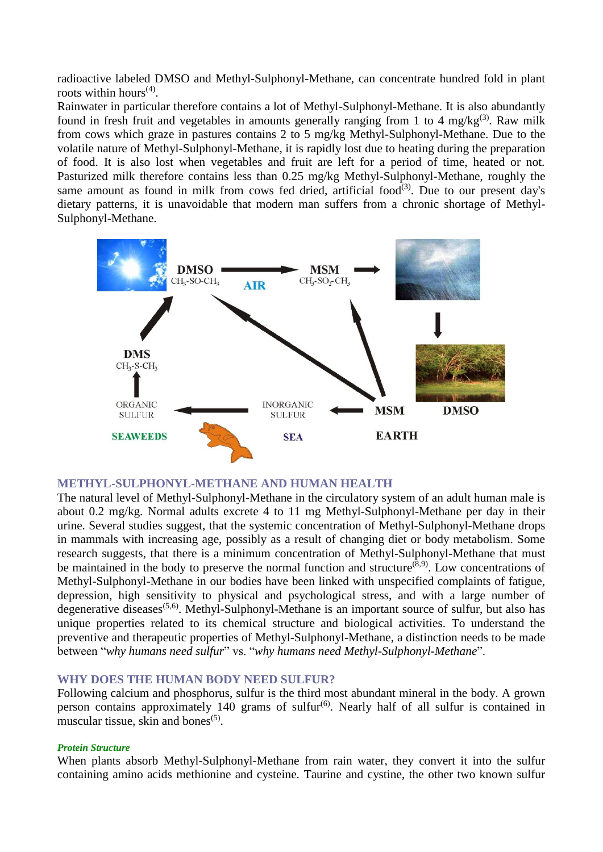radioactive labeled DMSO and Methyl-Sulphonyl-Methane, can concentrate hundred fold in plant roots within hours<sup> $(4)$ </sup>.

Rainwater in particular therefore contains a lot of Methyl-Sulphonyl-Methane. It is also abundantly found in fresh fruit and vegetables in amounts generally ranging from 1 to 4 mg/kg<sup>(3)</sup>. Raw milk from cows which graze in pastures contains 2 to 5 mg/kg Methyl-Sulphonyl-Methane. Due to the volatile nature of Methyl-Sulphonyl-Methane, it is rapidly lost due to heating during the preparation of food. It is also lost when vegetables and fruit are left for a period of time, heated or not. Pasturized milk therefore contains less than 0.25 mg/kg Methyl-Sulphonyl-Methane, roughly the same amount as found in milk from cows fed dried, artificial food<sup> $(3)$ </sup>. Due to our present day's dietary patterns, it is unavoidable that modern man suffers from a chronic shortage of Methyl-Sulphonyl-Methane.



## **METHYL-SULPHONYL-METHANE AND HUMAN HEALTH**

The natural level of Methyl-Sulphonyl-Methane in the circulatory system of an adult human male is about 0.2 mg/kg. Normal adults excrete 4 to 11 mg Methyl-Sulphonyl-Methane per day in their urine. Several studies suggest, that the systemic concentration of Methyl-Sulphonyl-Methane drops in mammals with increasing age, possibly as a result of changing diet or body metabolism. Some research suggests, that there is a minimum concentration of Methyl-Sulphonyl-Methane that must be maintained in the body to preserve the normal function and structure<sup> $(\delta,9)$ </sup>. Low concentrations of Methyl-Sulphonyl-Methane in our bodies have been linked with unspecified complaints of fatigue, depression, high sensitivity to physical and psychological stress, and with a large number of degenerative diseases<sup>(5,6)</sup>. Methyl-Sulphonyl-Methane is an important source of sulfur, but also has unique properties related to its chemical structure and biological activities. To understand the preventive and therapeutic properties of Methyl-Sulphonyl-Methane, a distinction needs to be made between "*why humans need sulfur*" vs. "*why humans need Methyl-Sulphonyl-Methane*".

# **WHY DOES THE HUMAN BODY NEED SULFUR?**

Following calcium and phosphorus, sulfur is the third most abundant mineral in the body. A grown person contains approximately 140 grams of sulfur<sup> $(6)$ </sup>. Nearly half of all sulfur is contained in muscular tissue, skin and bones $(5)$ .

#### *Protein Structure*

When plants absorb Methyl-Sulphonyl-Methane from rain water, they convert it into the sulfur containing amino acids methionine and cysteine. Taurine and cystine, the other two known sulfur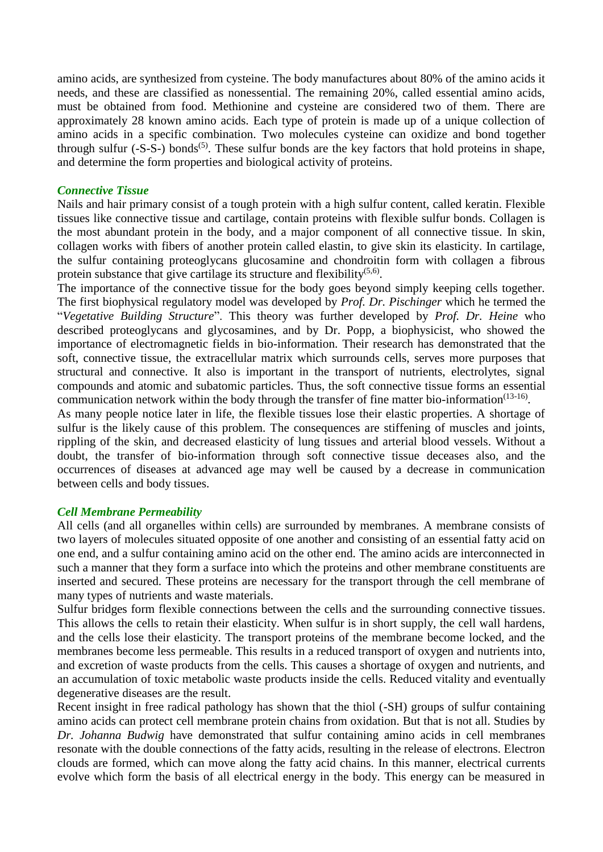amino acids, are synthesized from cysteine. The body manufactures about 80% of the amino acids it needs, and these are classified as nonessential. The remaining 20%, called essential amino acids, must be obtained from food. Methionine and cysteine are considered two of them. There are approximately 28 known amino acids. Each type of protein is made up of a unique collection of amino acids in a specific combination. Two molecules cysteine can oxidize and bond together through sulfur  $(-S-S-)$  bonds<sup> $(5)$ </sup>. These sulfur bonds are the key factors that hold proteins in shape, and determine the form properties and biological activity of proteins.

## *Connective Tissue*

Nails and hair primary consist of a tough protein with a high sulfur content, called keratin. Flexible tissues like connective tissue and cartilage, contain proteins with flexible sulfur bonds. Collagen is the most abundant protein in the body, and a major component of all connective tissue. In skin, collagen works with fibers of another protein called elastin, to give skin its elasticity. In cartilage, the sulfur containing proteoglycans glucosamine and chondroitin form with collagen a fibrous protein substance that give cartilage its structure and flexibility<sup> $(5,6)$ </sup>.

The importance of the connective tissue for the body goes beyond simply keeping cells together. The first biophysical regulatory model was developed by *Prof. Dr. Pischinger* which he termed the "*Vegetative Building Structure*". This theory was further developed by *Prof. Dr. Heine* who described proteoglycans and glycosamines, and by Dr. Popp, a biophysicist, who showed the importance of electromagnetic fields in bio-information. Their research has demonstrated that the soft, connective tissue, the extracellular matrix which surrounds cells, serves more purposes that structural and connective. It also is important in the transport of nutrients, electrolytes, signal compounds and atomic and subatomic particles. Thus, the soft connective tissue forms an essential communication network within the body through the transfer of fine matter bio-information<sup> $(13-16)$ </sup>.

As many people notice later in life, the flexible tissues lose their elastic properties. A shortage of sulfur is the likely cause of this problem. The consequences are stiffening of muscles and joints, rippling of the skin, and decreased elasticity of lung tissues and arterial blood vessels. Without a doubt, the transfer of bio-information through soft connective tissue deceases also, and the occurrences of diseases at advanced age may well be caused by a decrease in communication between cells and body tissues.

## *Cell Membrane Permeability*

All cells (and all organelles within cells) are surrounded by membranes. A membrane consists of two layers of molecules situated opposite of one another and consisting of an essential fatty acid on one end, and a sulfur containing amino acid on the other end. The amino acids are interconnected in such a manner that they form a surface into which the proteins and other membrane constituents are inserted and secured. These proteins are necessary for the transport through the cell membrane of many types of nutrients and waste materials.

Sulfur bridges form flexible connections between the cells and the surrounding connective tissues. This allows the cells to retain their elasticity. When sulfur is in short supply, the cell wall hardens, and the cells lose their elasticity. The transport proteins of the membrane become locked, and the membranes become less permeable. This results in a reduced transport of oxygen and nutrients into, and excretion of waste products from the cells. This causes a shortage of oxygen and nutrients, and an accumulation of toxic metabolic waste products inside the cells. Reduced vitality and eventually degenerative diseases are the result.

Recent insight in free radical pathology has shown that the thiol (-SH) groups of sulfur containing amino acids can protect cell membrane protein chains from oxidation. But that is not all. Studies by *Dr. Johanna Budwig* have demonstrated that sulfur containing amino acids in cell membranes resonate with the double connections of the fatty acids, resulting in the release of electrons. Electron clouds are formed, which can move along the fatty acid chains. In this manner, electrical currents evolve which form the basis of all electrical energy in the body. This energy can be measured in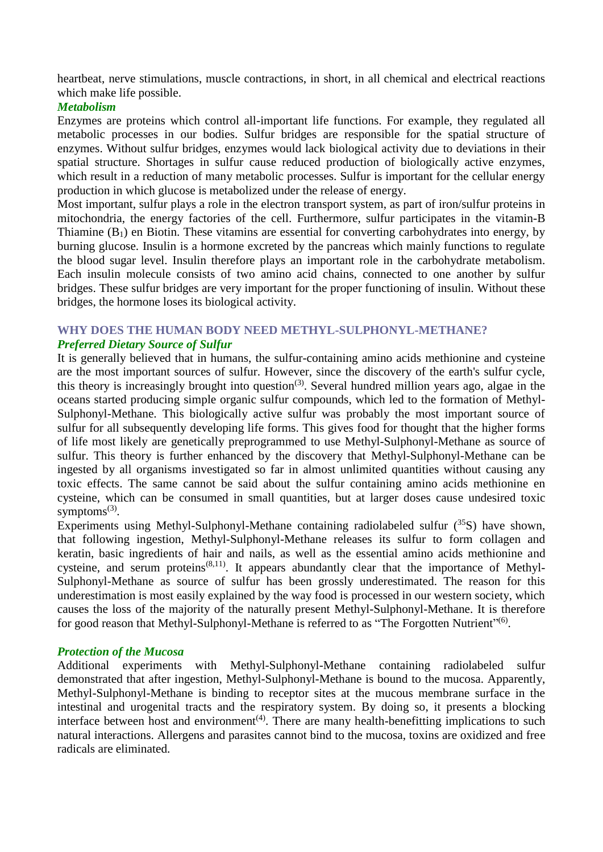heartbeat, nerve stimulations, muscle contractions, in short, in all chemical and electrical reactions which make life possible.

# *Metabolism*

Enzymes are proteins which control all-important life functions. For example, they regulated all metabolic processes in our bodies. Sulfur bridges are responsible for the spatial structure of enzymes. Without sulfur bridges, enzymes would lack biological activity due to deviations in their spatial structure. Shortages in sulfur cause reduced production of biologically active enzymes, which result in a reduction of many metabolic processes. Sulfur is important for the cellular energy production in which glucose is metabolized under the release of energy.

Most important, sulfur plays a role in the electron transport system, as part of iron/sulfur proteins in mitochondria, the energy factories of the cell. Furthermore, sulfur participates in the vitamin-B Thiamine  $(B_1)$  en Biotin. These vitamins are essential for converting carbohydrates into energy, by burning glucose. Insulin is a hormone excreted by the pancreas which mainly functions to regulate the blood sugar level. Insulin therefore plays an important role in the carbohydrate metabolism. Each insulin molecule consists of two amino acid chains, connected to one another by sulfur bridges. These sulfur bridges are very important for the proper functioning of insulin. Without these bridges, the hormone loses its biological activity.

# **WHY DOES THE HUMAN BODY NEED METHYL-SULPHONYL-METHANE?** *Preferred Dietary Source of Sulfur*

It is generally believed that in humans, the sulfur-containing amino acids methionine and cysteine are the most important sources of sulfur. However, since the discovery of the earth's sulfur cycle, this theory is increasingly brought into question<sup>(3)</sup>. Several hundred million years ago, algae in the oceans started producing simple organic sulfur compounds, which led to the formation of Methyl-Sulphonyl-Methane. This biologically active sulfur was probably the most important source of sulfur for all subsequently developing life forms. This gives food for thought that the higher forms of life most likely are genetically preprogrammed to use Methyl-Sulphonyl-Methane as source of sulfur. This theory is further enhanced by the discovery that Methyl-Sulphonyl-Methane can be ingested by all organisms investigated so far in almost unlimited quantities without causing any toxic effects. The same cannot be said about the sulfur containing amino acids methionine en cysteine, which can be consumed in small quantities, but at larger doses cause undesired toxic symptoms $^{(3)}$ .

Experiments using Methyl-Sulphonyl-Methane containing radiolabeled sulfur  $(^{35}S)$  have shown, that following ingestion, Methyl-Sulphonyl-Methane releases its sulfur to form collagen and keratin, basic ingredients of hair and nails, as well as the essential amino acids methionine and cysteine, and serum proteins<sup> $(8,11)$ </sup>. It appears abundantly clear that the importance of Methyl-Sulphonyl-Methane as source of sulfur has been grossly underestimated. The reason for this underestimation is most easily explained by the way food is processed in our western society, which causes the loss of the majority of the naturally present Methyl-Sulphonyl-Methane. It is therefore for good reason that Methyl-Sulphonyl-Methane is referred to as "The Forgotten Nutrient"<sup>(6)</sup>.

## *Protection of the Mucosa*

Additional experiments with Methyl-Sulphonyl-Methane containing radiolabeled sulfur demonstrated that after ingestion, Methyl-Sulphonyl-Methane is bound to the mucosa. Apparently, Methyl-Sulphonyl-Methane is binding to receptor sites at the mucous membrane surface in the intestinal and urogenital tracts and the respiratory system. By doing so, it presents a blocking interface between host and environment<sup> $(4)$ </sup>. There are many health-benefitting implications to such natural interactions. Allergens and parasites cannot bind to the mucosa, toxins are oxidized and free radicals are eliminated.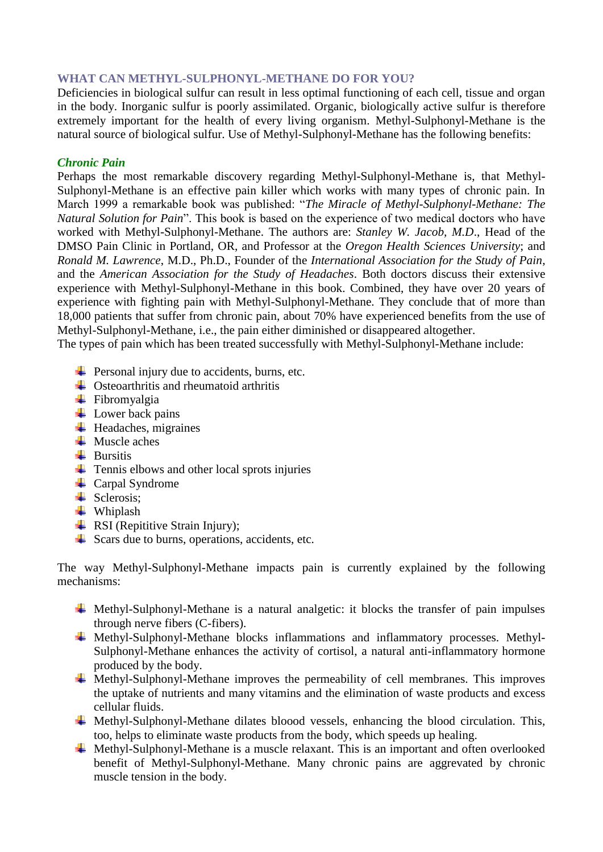# **WHAT CAN METHYL-SULPHONYL-METHANE DO FOR YOU?**

Deficiencies in biological sulfur can result in less optimal functioning of each cell, tissue and organ in the body. Inorganic sulfur is poorly assimilated. Organic, biologically active sulfur is therefore extremely important for the health of every living organism. Methyl-Sulphonyl-Methane is the natural source of biological sulfur. Use of Methyl-Sulphonyl-Methane has the following benefits:

# *Chronic Pain*

Perhaps the most remarkable discovery regarding Methyl-Sulphonyl-Methane is, that Methyl-Sulphonyl-Methane is an effective pain killer which works with many types of chronic pain. In March 1999 a remarkable book was published: "*The Miracle of Methyl-Sulphonyl-Methane: The Natural Solution for Pain*". This book is based on the experience of two medical doctors who have worked with Methyl-Sulphonyl-Methane. The authors are: *Stanley W. Jacob, M.D*., Head of the DMSO Pain Clinic in Portland, OR, and Professor at the *Oregon Health Sciences University*; and *Ronald M. Lawrence*, M.D., Ph.D., Founder of the *International Association for the Study of Pain*, and the *American Association for the Study of Headaches*. Both doctors discuss their extensive experience with Methyl-Sulphonyl-Methane in this book. Combined, they have over 20 years of experience with fighting pain with Methyl-Sulphonyl-Methane. They conclude that of more than 18,000 patients that suffer from chronic pain, about 70% have experienced benefits from the use of Methyl-Sulphonyl-Methane, i.e., the pain either diminished or disappeared altogether.

The types of pain which has been treated successfully with Methyl-Sulphonyl-Methane include:

- $\overline{\phantom{a}}$  Personal injury due to accidents, burns, etc.
- $\triangleq$  Osteoarthritis and rheumatoid arthritis
- $\leftarrow$  Fibromyalgia
- $\overline{\phantom{a}}$  Lower back pains
- $\ddot{\phantom{a}}$  Headaches, migraines
- $\blacksquare$  Muscle aches
- $\overline{\phantom{a}}$  Bursitis
- $\overline{\phantom{a}}$  Tennis elbows and other local sprots injuries
- $\leftarrow$  Carpal Syndrome
- $\blacktriangle$  Sclerosis:
- **↓** Whiplash
- $\overline{\phantom{a}}$  RSI (Repititive Strain Injury);
- $\overline{\phantom{a}}$  Scars due to burns, operations, accidents, etc.

The way Methyl-Sulphonyl-Methane impacts pain is currently explained by the following mechanisms:

- $\overline{\text{#}}$  Methyl-Sulphonyl-Methane is a natural analgetic: it blocks the transfer of pain impulses through nerve fibers (C-fibers).
- $\overline{\text{Vert}}$  Methyl-Sulphonyl-Methane blocks inflammations and inflammatory processes. Methyl-Sulphonyl-Methane enhances the activity of cortisol, a natural anti-inflammatory hormone produced by the body.
- $\overline{\text{H}}$  Methyl-Sulphonyl-Methane improves the permeability of cell membranes. This improves the uptake of nutrients and many vitamins and the elimination of waste products and excess cellular fluids.
- $\overline{\text{#}}$  Methyl-Sulphonyl-Methane dilates bloood vessels, enhancing the blood circulation. This, too, helps to eliminate waste products from the body, which speeds up healing.
- $\overline{\text{#}}$  Methyl-Sulphonyl-Methane is a muscle relaxant. This is an important and often overlooked benefit of Methyl-Sulphonyl-Methane. Many chronic pains are aggrevated by chronic muscle tension in the body.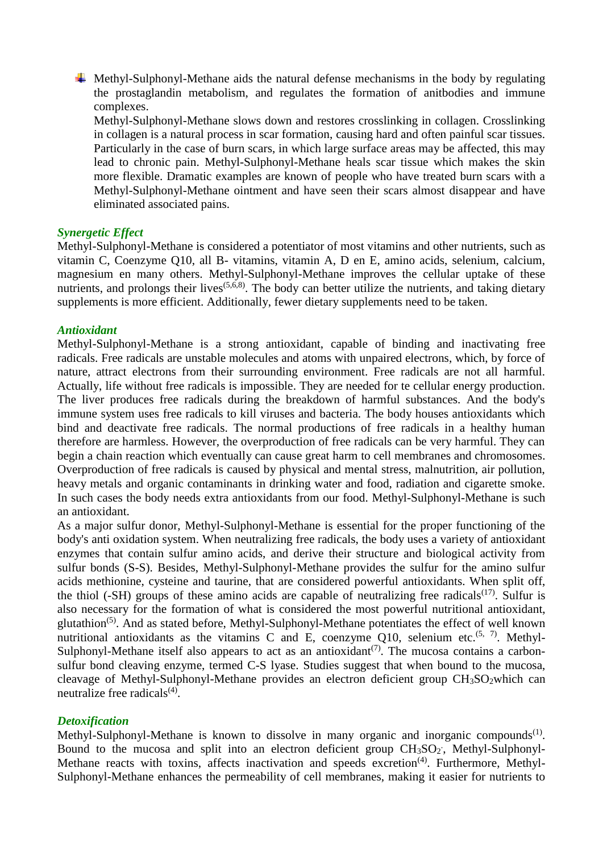$\overline{\phantom{a}}$  Methyl-Sulphonyl-Methane aids the natural defense mechanisms in the body by regulating the prostaglandin metabolism, and regulates the formation of anitbodies and immune complexes.

Methyl-Sulphonyl-Methane slows down and restores crosslinking in collagen. Crosslinking in collagen is a natural process in scar formation, causing hard and often painful scar tissues. Particularly in the case of burn scars, in which large surface areas may be affected, this may lead to chronic pain. Methyl-Sulphonyl-Methane heals scar tissue which makes the skin more flexible. Dramatic examples are known of people who have treated burn scars with a Methyl-Sulphonyl-Methane ointment and have seen their scars almost disappear and have eliminated associated pains.

#### *Synergetic Effect*

Methyl-Sulphonyl-Methane is considered a potentiator of most vitamins and other nutrients, such as vitamin C, Coenzyme Q10, all B- vitamins, vitamin A, D en E, amino acids, selenium, calcium, magnesium en many others. Methyl-Sulphonyl-Methane improves the cellular uptake of these nutrients, and prolongs their lives<sup> $(5,6,8)$ </sup>. The body can better utilize the nutrients, and taking dietary supplements is more efficient. Additionally, fewer dietary supplements need to be taken.

#### *Antioxidant*

Methyl-Sulphonyl-Methane is a strong antioxidant, capable of binding and inactivating free radicals. Free radicals are unstable molecules and atoms with unpaired electrons, which, by force of nature, attract electrons from their surrounding environment. Free radicals are not all harmful. Actually, life without free radicals is impossible. They are needed for te cellular energy production. The liver produces free radicals during the breakdown of harmful substances. And the body's immune system uses free radicals to kill viruses and bacteria. The body houses antioxidants which bind and deactivate free radicals. The normal productions of free radicals in a healthy human therefore are harmless. However, the overproduction of free radicals can be very harmful. They can begin a chain reaction which eventually can cause great harm to cell membranes and chromosomes. Overproduction of free radicals is caused by physical and mental stress, malnutrition, air pollution, heavy metals and organic contaminants in drinking water and food, radiation and cigarette smoke. In such cases the body needs extra antioxidants from our food. Methyl-Sulphonyl-Methane is such an antioxidant.

As a major sulfur donor, Methyl-Sulphonyl-Methane is essential for the proper functioning of the body's anti oxidation system. When neutralizing free radicals, the body uses a variety of antioxidant enzymes that contain sulfur amino acids, and derive their structure and biological activity from sulfur bonds (S-S). Besides, Methyl-Sulphonyl-Methane provides the sulfur for the amino sulfur acids methionine, cysteine and taurine, that are considered powerful antioxidants. When split off, the thiol (-SH) groups of these amino acids are capable of neutralizing free radicals<sup>(17)</sup>. Sulfur is also necessary for the formation of what is considered the most powerful nutritional antioxidant, glutathion(5). And as stated before, Methyl-Sulphonyl-Methane potentiates the effect of well known nutritional antioxidants as the vitamins C and E, coenzyme Q10, selenium etc.<sup>(5, 7)</sup>. Methyl-Sulphonyl-Methane itself also appears to act as an antioxidant<sup> $(7)$ </sup>. The mucosa contains a carbonsulfur bond cleaving enzyme, termed C-S lyase. Studies suggest that when bound to the mucosa, cleavage of Methyl-Sulphonyl-Methane provides an electron deficient group  $CH<sub>3</sub>SO<sub>2</sub>$  which can neutralize free radicals $(4)$ .

## *Detoxification*

Methyl-Sulphonyl-Methane is known to dissolve in many organic and inorganic compounds<sup>(1)</sup>. Bound to the mucosa and split into an electron deficient group CH<sub>3</sub>SO<sub>2</sub>, Methyl-Sulphonyl-Methane reacts with toxins, affects inactivation and speeds excretion<sup>(4)</sup>. Furthermore, Methyl-Sulphonyl-Methane enhances the permeability of cell membranes, making it easier for nutrients to

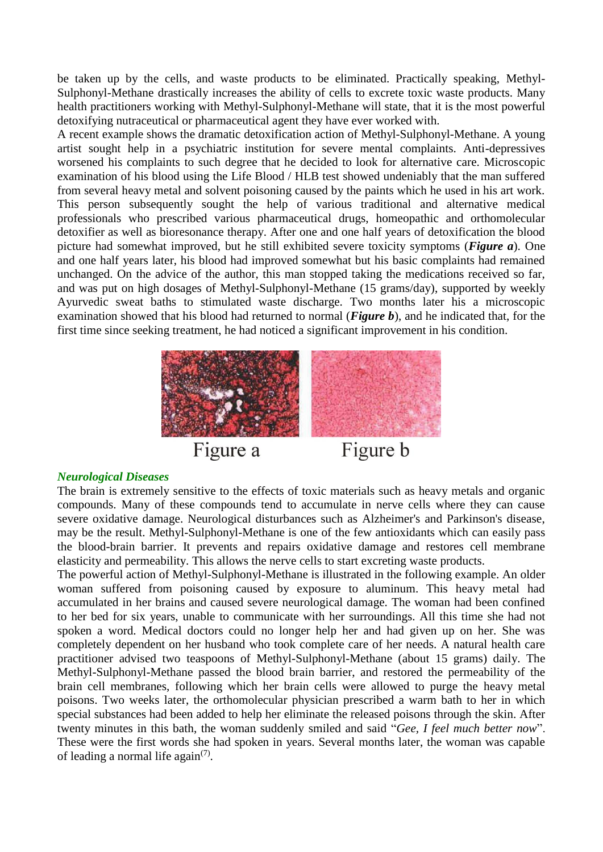be taken up by the cells, and waste products to be eliminated. Practically speaking, Methyl-Sulphonyl-Methane drastically increases the ability of cells to excrete toxic waste products. Many health practitioners working with Methyl-Sulphonyl-Methane will state, that it is the most powerful detoxifying nutraceutical or pharmaceutical agent they have ever worked with.

A recent example shows the dramatic detoxification action of Methyl-Sulphonyl-Methane. A young artist sought help in a psychiatric institution for severe mental complaints. Anti-depressives worsened his complaints to such degree that he decided to look for alternative care. Microscopic examination of his blood using the Life Blood / HLB test showed undeniably that the man suffered from several heavy metal and solvent poisoning caused by the paints which he used in his art work. This person subsequently sought the help of various traditional and alternative medical professionals who prescribed various pharmaceutical drugs, homeopathic and orthomolecular detoxifier as well as bioresonance therapy. After one and one half years of detoxification the blood picture had somewhat improved, but he still exhibited severe toxicity symptoms (*Figure a*). One and one half years later, his blood had improved somewhat but his basic complaints had remained unchanged. On the advice of the author, this man stopped taking the medications received so far, and was put on high dosages of Methyl-Sulphonyl-Methane (15 grams/day), supported by weekly Ayurvedic sweat baths to stimulated waste discharge. Two months later his a microscopic examination showed that his blood had returned to normal (*Figure b*), and he indicated that, for the first time since seeking treatment, he had noticed a significant improvement in his condition.



## *Neurological Diseases*

The brain is extremely sensitive to the effects of toxic materials such as heavy metals and organic compounds. Many of these compounds tend to accumulate in nerve cells where they can cause severe oxidative damage. Neurological disturbances such as Alzheimer's and Parkinson's disease, may be the result. Methyl-Sulphonyl-Methane is one of the few antioxidants which can easily pass the blood-brain barrier. It prevents and repairs oxidative damage and restores cell membrane elasticity and permeability. This allows the nerve cells to start excreting waste products.

The powerful action of Methyl-Sulphonyl-Methane is illustrated in the following example. An older woman suffered from poisoning caused by exposure to aluminum. This heavy metal had accumulated in her brains and caused severe neurological damage. The woman had been confined to her bed for six years, unable to communicate with her surroundings. All this time she had not spoken a word. Medical doctors could no longer help her and had given up on her. She was completely dependent on her husband who took complete care of her needs. A natural health care practitioner advised two teaspoons of Methyl-Sulphonyl-Methane (about 15 grams) daily. The Methyl-Sulphonyl-Methane passed the blood brain barrier, and restored the permeability of the brain cell membranes, following which her brain cells were allowed to purge the heavy metal poisons. Two weeks later, the orthomolecular physician prescribed a warm bath to her in which special substances had been added to help her eliminate the released poisons through the skin. After twenty minutes in this bath, the woman suddenly smiled and said "*Gee, I feel much better now*". These were the first words she had spoken in years. Several months later, the woman was capable of leading a normal life again $(7)$ .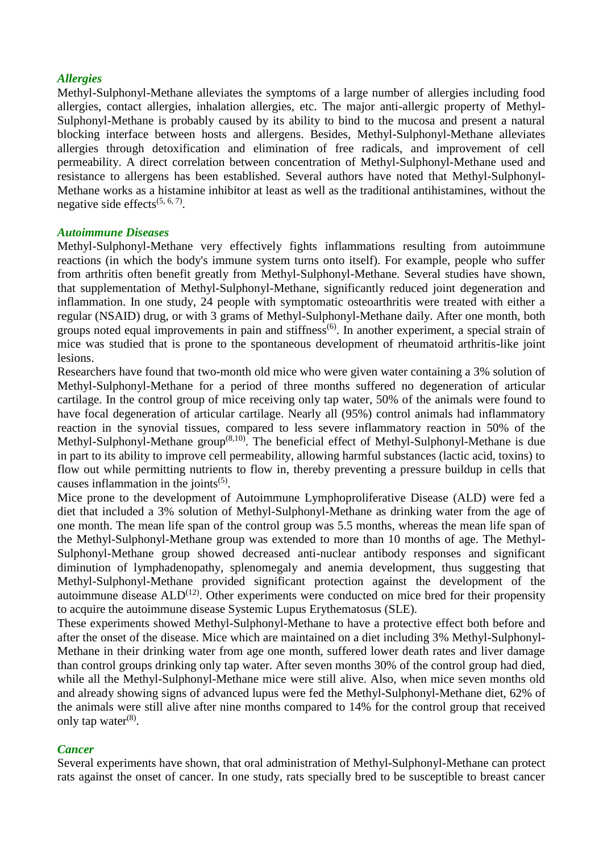#### *Allergies*

Methyl-Sulphonyl-Methane alleviates the symptoms of a large number of allergies including food allergies, contact allergies, inhalation allergies, etc. The major anti-allergic property of Methyl-Sulphonyl-Methane is probably caused by its ability to bind to the mucosa and present a natural blocking interface between hosts and allergens. Besides, Methyl-Sulphonyl-Methane alleviates allergies through detoxification and elimination of free radicals, and improvement of cell permeability. A direct correlation between concentration of Methyl-Sulphonyl-Methane used and resistance to allergens has been established. Several authors have noted that Methyl-Sulphonyl-Methane works as a histamine inhibitor at least as well as the traditional antihistamines, without the negative side effects<sup> $(5, 6, 7)$ </sup>.

#### *Autoimmune Diseases*

Methyl-Sulphonyl-Methane very effectively fights inflammations resulting from autoimmune reactions (in which the body's immune system turns onto itself). For example, people who suffer from arthritis often benefit greatly from Methyl-Sulphonyl-Methane. Several studies have shown, that supplementation of Methyl-Sulphonyl-Methane, significantly reduced joint degeneration and inflammation. In one study, 24 people with symptomatic osteoarthritis were treated with either a regular (NSAID) drug, or with 3 grams of Methyl-Sulphonyl-Methane daily. After one month, both groups noted equal improvements in pain and stiffness<sup> $(6)$ </sup>. In another experiment, a special strain of mice was studied that is prone to the spontaneous development of rheumatoid arthritis-like joint lesions.

Researchers have found that two-month old mice who were given water containing a 3% solution of Methyl-Sulphonyl-Methane for a period of three months suffered no degeneration of articular cartilage. In the control group of mice receiving only tap water, 50% of the animals were found to have focal degeneration of articular cartilage. Nearly all (95%) control animals had inflammatory reaction in the synovial tissues, compared to less severe inflammatory reaction in 50% of the Methyl-Sulphonyl-Methane group<sup>(8,10)</sup>. The beneficial effect of Methyl-Sulphonyl-Methane is due in part to its ability to improve cell permeability, allowing harmful substances (lactic acid, toxins) to flow out while permitting nutrients to flow in, thereby preventing a pressure buildup in cells that causes inflammation in the joints $(5)$ .

Mice prone to the development of Autoimmune Lymphoproliferative Disease (ALD) were fed a diet that included a 3% solution of Methyl-Sulphonyl-Methane as drinking water from the age of one month. The mean life span of the control group was 5.5 months, whereas the mean life span of the Methyl-Sulphonyl-Methane group was extended to more than 10 months of age. The Methyl-Sulphonyl-Methane group showed decreased anti-nuclear antibody responses and significant diminution of lymphadenopathy, splenomegaly and anemia development, thus suggesting that Methyl-Sulphonyl-Methane provided significant protection against the development of the autoimmune disease  $ALD<sup>(12)</sup>$ . Other experiments were conducted on mice bred for their propensity to acquire the autoimmune disease Systemic Lupus Erythematosus (SLE).

These experiments showed Methyl-Sulphonyl-Methane to have a protective effect both before and after the onset of the disease. Mice which are maintained on a diet including 3% Methyl-Sulphonyl-Methane in their drinking water from age one month, suffered lower death rates and liver damage than control groups drinking only tap water. After seven months 30% of the control group had died, while all the Methyl-Sulphonyl-Methane mice were still alive. Also, when mice seven months old and already showing signs of advanced lupus were fed the Methyl-Sulphonyl-Methane diet, 62% of the animals were still alive after nine months compared to 14% for the control group that received only tap water $(8)$ .

## *Cancer*

Several experiments have shown, that oral administration of Methyl-Sulphonyl-Methane can protect rats against the onset of cancer. In one study, rats specially bred to be susceptible to breast cancer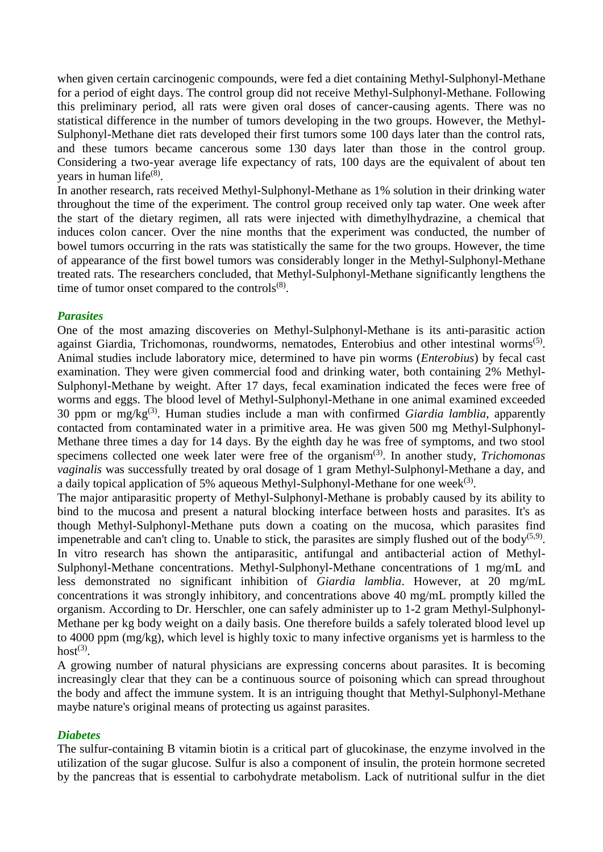when given certain carcinogenic compounds, were fed a diet containing Methyl-Sulphonyl-Methane for a period of eight days. The control group did not receive Methyl-Sulphonyl-Methane. Following this preliminary period, all rats were given oral doses of cancer-causing agents. There was no statistical difference in the number of tumors developing in the two groups. However, the Methyl-Sulphonyl-Methane diet rats developed their first tumors some 100 days later than the control rats, and these tumors became cancerous some 130 days later than those in the control group. Considering a two-year average life expectancy of rats, 100 days are the equivalent of about ten years in human life<sup>(8)</sup>.

In another research, rats received Methyl-Sulphonyl-Methane as 1% solution in their drinking water throughout the time of the experiment. The control group received only tap water. One week after the start of the dietary regimen, all rats were injected with dimethylhydrazine, a chemical that induces colon cancer. Over the nine months that the experiment was conducted, the number of bowel tumors occurring in the rats was statistically the same for the two groups. However, the time of appearance of the first bowel tumors was considerably longer in the Methyl-Sulphonyl-Methane treated rats. The researchers concluded, that Methyl-Sulphonyl-Methane significantly lengthens the time of tumor onset compared to the controls $^{(8)}$ .

# *Parasites*

One of the most amazing discoveries on Methyl-Sulphonyl-Methane is its anti-parasitic action against Giardia, Trichomonas, roundworms, nematodes, Enterobius and other intestinal worms<sup>(5)</sup>. Animal studies include laboratory mice, determined to have pin worms (*Enterobius*) by fecal cast examination. They were given commercial food and drinking water, both containing 2% Methyl-Sulphonyl-Methane by weight. After 17 days, fecal examination indicated the feces were free of worms and eggs. The blood level of Methyl-Sulphonyl-Methane in one animal examined exceeded 30 ppm or mg/kg(3). Human studies include a man with confirmed *Giardia lamblia*, apparently contacted from contaminated water in a primitive area. He was given 500 mg Methyl-Sulphonyl-Methane three times a day for 14 days. By the eighth day he was free of symptoms, and two stool specimens collected one week later were free of the organism<sup>(3)</sup>. In another study, *Trichomonas vaginalis* was successfully treated by oral dosage of 1 gram Methyl-Sulphonyl-Methane a day, and a daily topical application of 5% aqueous Methyl-Sulphonyl-Methane for one week $^{(3)}$ .

The major antiparasitic property of Methyl-Sulphonyl-Methane is probably caused by its ability to bind to the mucosa and present a natural blocking interface between hosts and parasites. It's as though Methyl-Sulphonyl-Methane puts down a coating on the mucosa, which parasites find impenetrable and can't cling to. Unable to stick, the parasites are simply flushed out of the body<sup> $(5,9)$ </sup>. In vitro research has shown the antiparasitic, antifungal and antibacterial action of Methyl-Sulphonyl-Methane concentrations. Methyl-Sulphonyl-Methane concentrations of 1 mg/mL and less demonstrated no significant inhibition of *Giardia lamblia*. However, at 20 mg/mL concentrations it was strongly inhibitory, and concentrations above 40 mg/mL promptly killed the organism. According to Dr. Herschler, one can safely administer up to 1-2 gram Methyl-Sulphonyl-Methane per kg body weight on a daily basis. One therefore builds a safely tolerated blood level up to 4000 ppm (mg/kg), which level is highly toxic to many infective organisms yet is harmless to the  $host^{(3)}$ .

A growing number of natural physicians are expressing concerns about parasites. It is becoming increasingly clear that they can be a continuous source of poisoning which can spread throughout the body and affect the immune system. It is an intriguing thought that Methyl-Sulphonyl-Methane maybe nature's original means of protecting us against parasites.

## *Diabetes*

The sulfur-containing B vitamin biotin is a critical part of glucokinase, the enzyme involved in the utilization of the sugar glucose. Sulfur is also a component of insulin, the protein hormone secreted by the pancreas that is essential to carbohydrate metabolism. Lack of nutritional sulfur in the diet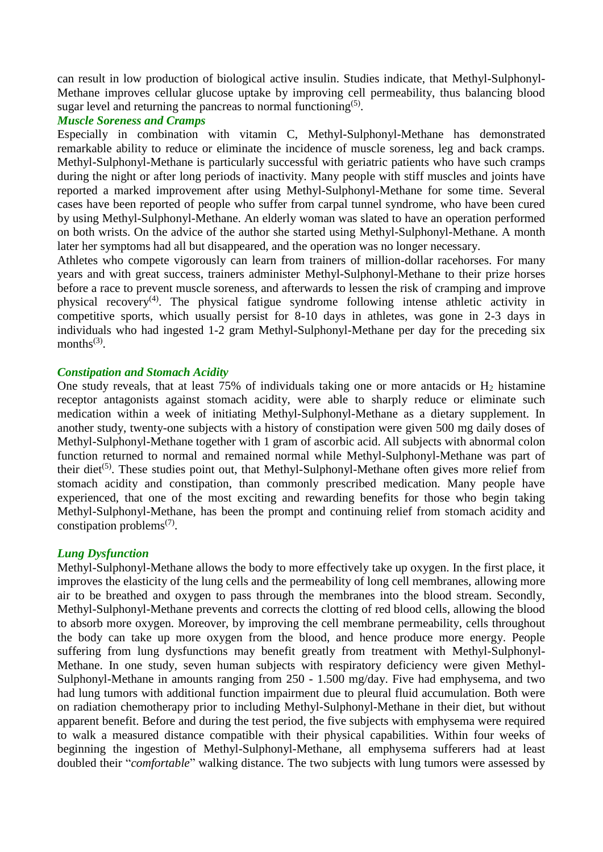can result in low production of biological active insulin. Studies indicate, that Methyl-Sulphonyl-Methane improves cellular glucose uptake by improving cell permeability, thus balancing blood sugar level and returning the pancreas to normal functioning<sup>(5)</sup>.

#### *Muscle Soreness and Cramps*

Especially in combination with vitamin C, Methyl-Sulphonyl-Methane has demonstrated remarkable ability to reduce or eliminate the incidence of muscle soreness, leg and back cramps. Methyl-Sulphonyl-Methane is particularly successful with geriatric patients who have such cramps during the night or after long periods of inactivity. Many people with stiff muscles and joints have reported a marked improvement after using Methyl-Sulphonyl-Methane for some time. Several cases have been reported of people who suffer from carpal tunnel syndrome, who have been cured by using Methyl-Sulphonyl-Methane. An elderly woman was slated to have an operation performed on both wrists. On the advice of the author she started using Methyl-Sulphonyl-Methane. A month later her symptoms had all but disappeared, and the operation was no longer necessary.

Athletes who compete vigorously can learn from trainers of million-dollar racehorses. For many years and with great success, trainers administer Methyl-Sulphonyl-Methane to their prize horses before a race to prevent muscle soreness, and afterwards to lessen the risk of cramping and improve physical recovery<sup>(4)</sup>. The physical fatigue syndrome following intense athletic activity in competitive sports, which usually persist for 8-10 days in athletes, was gone in 2-3 days in individuals who had ingested 1-2 gram Methyl-Sulphonyl-Methane per day for the preceding six months $^{(3)}$ .

## *Constipation and Stomach Acidity*

One study reveals, that at least  $75\%$  of individuals taking one or more antacids or  $H_2$  histamine receptor antagonists against stomach acidity, were able to sharply reduce or eliminate such medication within a week of initiating Methyl-Sulphonyl-Methane as a dietary supplement. In another study, twenty-one subjects with a history of constipation were given 500 mg daily doses of Methyl-Sulphonyl-Methane together with 1 gram of ascorbic acid. All subjects with abnormal colon function returned to normal and remained normal while Methyl-Sulphonyl-Methane was part of their diet<sup>(5)</sup>. These studies point out, that Methyl-Sulphonyl-Methane often gives more relief from stomach acidity and constipation, than commonly prescribed medication. Many people have experienced, that one of the most exciting and rewarding benefits for those who begin taking Methyl-Sulphonyl-Methane, has been the prompt and continuing relief from stomach acidity and constipation problems<sup> $(7)$ </sup>.

## *Lung Dysfunction*

Methyl-Sulphonyl-Methane allows the body to more effectively take up oxygen. In the first place, it improves the elasticity of the lung cells and the permeability of long cell membranes, allowing more air to be breathed and oxygen to pass through the membranes into the blood stream. Secondly, Methyl-Sulphonyl-Methane prevents and corrects the clotting of red blood cells, allowing the blood to absorb more oxygen. Moreover, by improving the cell membrane permeability, cells throughout the body can take up more oxygen from the blood, and hence produce more energy. People suffering from lung dysfunctions may benefit greatly from treatment with Methyl-Sulphonyl-Methane. In one study, seven human subjects with respiratory deficiency were given Methyl-Sulphonyl-Methane in amounts ranging from 250 - 1.500 mg/day. Five had emphysema, and two had lung tumors with additional function impairment due to pleural fluid accumulation. Both were on radiation chemotherapy prior to including Methyl-Sulphonyl-Methane in their diet, but without apparent benefit. Before and during the test period, the five subjects with emphysema were required to walk a measured distance compatible with their physical capabilities. Within four weeks of beginning the ingestion of Methyl-Sulphonyl-Methane, all emphysema sufferers had at least doubled their "*comfortable*" walking distance. The two subjects with lung tumors were assessed by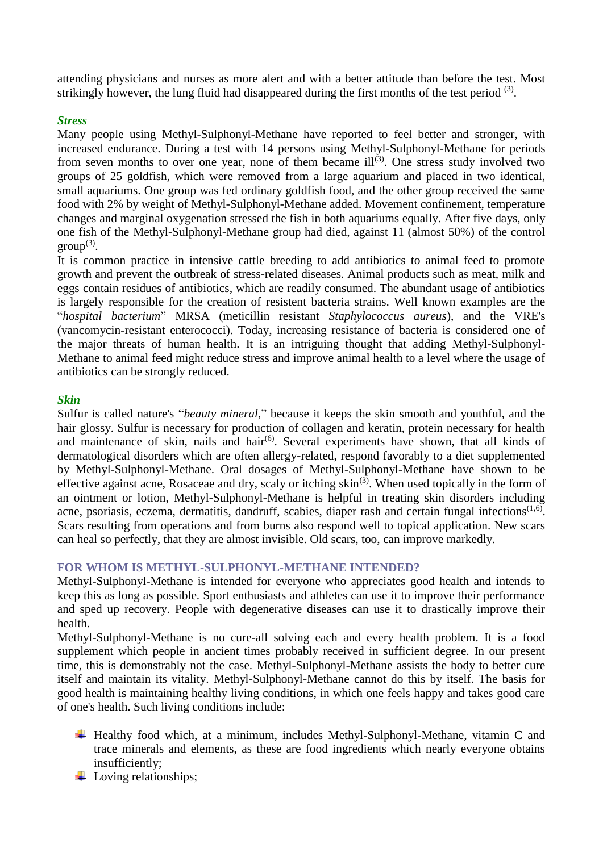attending physicians and nurses as more alert and with a better attitude than before the test. Most strikingly however, the lung fluid had disappeared during the first months of the test period  $(3)$ .

# *Stress*

Many people using Methyl-Sulphonyl-Methane have reported to feel better and stronger, with increased endurance. During a test with 14 persons using Methyl-Sulphonyl-Methane for periods from seven months to over one year, none of them became  $ill^{(3)}$ . One stress study involved two groups of 25 goldfish, which were removed from a large aquarium and placed in two identical, small aquariums. One group was fed ordinary goldfish food, and the other group received the same food with 2% by weight of Methyl-Sulphonyl-Methane added. Movement confinement, temperature changes and marginal oxygenation stressed the fish in both aquariums equally. After five days, only one fish of the Methyl-Sulphonyl-Methane group had died, against 11 (almost 50%) of the control  $group^{(3)}$ .

It is common practice in intensive cattle breeding to add antibiotics to animal feed to promote growth and prevent the outbreak of stress-related diseases. Animal products such as meat, milk and eggs contain residues of antibiotics, which are readily consumed. The abundant usage of antibiotics is largely responsible for the creation of resistent bacteria strains. Well known examples are the "*hospital bacterium*" MRSA (meticillin resistant *Staphylococcus aureus*), and the VRE's (vancomycin-resistant enterococci). Today, increasing resistance of bacteria is considered one of the major threats of human health. It is an intriguing thought that adding Methyl-Sulphonyl-Methane to animal feed might reduce stress and improve animal health to a level where the usage of antibiotics can be strongly reduced.

# *Skin*

Sulfur is called nature's "*beauty mineral*," because it keeps the skin smooth and youthful, and the hair glossy. Sulfur is necessary for production of collagen and keratin, protein necessary for health and maintenance of skin, nails and hair<sup> $(6)$ </sup>. Several experiments have shown, that all kinds of dermatological disorders which are often allergy-related, respond favorably to a diet supplemented by Methyl-Sulphonyl-Methane. Oral dosages of Methyl-Sulphonyl-Methane have shown to be effective against acne, Rosaceae and dry, scaly or itching  $\sin^{(3)}$ . When used topically in the form of an ointment or lotion, Methyl-Sulphonyl-Methane is helpful in treating skin disorders including acne, psoriasis, eczema, dermatitis, dandruff, scabies, diaper rash and certain fungal infections $(1,6)$ . Scars resulting from operations and from burns also respond well to topical application. New scars can heal so perfectly, that they are almost invisible. Old scars, too, can improve markedly.

## **FOR WHOM IS METHYL-SULPHONYL-METHANE INTENDED?**

Methyl-Sulphonyl-Methane is intended for everyone who appreciates good health and intends to keep this as long as possible. Sport enthusiasts and athletes can use it to improve their performance and sped up recovery. People with degenerative diseases can use it to drastically improve their health.

Methyl-Sulphonyl-Methane is no cure-all solving each and every health problem. It is a food supplement which people in ancient times probably received in sufficient degree. In our present time, this is demonstrably not the case. Methyl-Sulphonyl-Methane assists the body to better cure itself and maintain its vitality. Methyl-Sulphonyl-Methane cannot do this by itself. The basis for good health is maintaining healthy living conditions, in which one feels happy and takes good care of one's health. Such living conditions include:

- Healthy food which, at a minimum, includes Methyl-Sulphonyl-Methane, vitamin C and trace minerals and elements, as these are food ingredients which nearly everyone obtains insufficiently;
- $\overline{\phantom{a}}$  Loving relationships;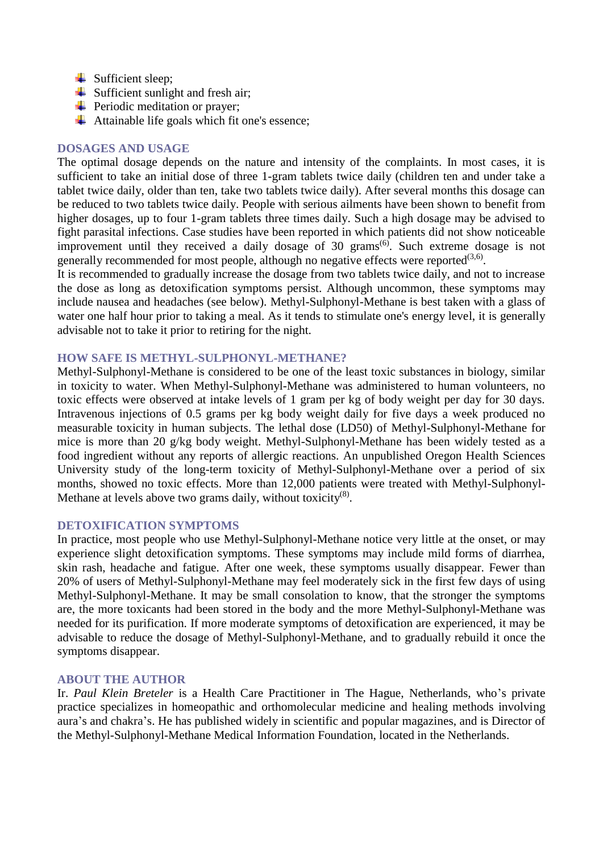- $\overline{\phantom{a}}$  Sufficient sleep;
- $\overline{\phantom{a}}$  Sufficient sunlight and fresh air;
- $\overline{\phantom{a}}$  Periodic meditation or prayer;
- $\overline{\phantom{a}}$  Attainable life goals which fit one's essence;

#### **DOSAGES AND USAGE**

The optimal dosage depends on the nature and intensity of the complaints. In most cases, it is sufficient to take an initial dose of three 1-gram tablets twice daily (children ten and under take a tablet twice daily, older than ten, take two tablets twice daily). After several months this dosage can be reduced to two tablets twice daily. People with serious ailments have been shown to benefit from higher dosages, up to four 1-gram tablets three times daily. Such a high dosage may be advised to fight parasital infections. Case studies have been reported in which patients did not show noticeable improvement until they received a daily dosage of 30 grams<sup> $(6)$ </sup>. Such extreme dosage is not generally recommended for most people, although no negative effects were reported $(3,6)$ .

It is recommended to gradually increase the dosage from two tablets twice daily, and not to increase the dose as long as detoxification symptoms persist. Although uncommon, these symptoms may include nausea and headaches (see below). Methyl-Sulphonyl-Methane is best taken with a glass of water one half hour prior to taking a meal. As it tends to stimulate one's energy level, it is generally advisable not to take it prior to retiring for the night.

#### **HOW SAFE IS METHYL-SULPHONYL-METHANE?**

Methyl-Sulphonyl-Methane is considered to be one of the least toxic substances in biology, similar in toxicity to water. When Methyl-Sulphonyl-Methane was administered to human volunteers, no toxic effects were observed at intake levels of 1 gram per kg of body weight per day for 30 days. Intravenous injections of 0.5 grams per kg body weight daily for five days a week produced no measurable toxicity in human subjects. The lethal dose (LD50) of Methyl-Sulphonyl-Methane for mice is more than 20 g/kg body weight. Methyl-Sulphonyl-Methane has been widely tested as a food ingredient without any reports of allergic reactions. An unpublished Oregon Health Sciences University study of the long-term toxicity of Methyl-Sulphonyl-Methane over a period of six months, showed no toxic effects. More than 12,000 patients were treated with Methyl-Sulphonyl-Methane at levels above two grams daily, without toxicity $(8)$ .

#### **DETOXIFICATION SYMPTOMS**

In practice, most people who use Methyl-Sulphonyl-Methane notice very little at the onset, or may experience slight detoxification symptoms. These symptoms may include mild forms of diarrhea, skin rash, headache and fatigue. After one week, these symptoms usually disappear. Fewer than 20% of users of Methyl-Sulphonyl-Methane may feel moderately sick in the first few days of using Methyl-Sulphonyl-Methane. It may be small consolation to know, that the stronger the symptoms are, the more toxicants had been stored in the body and the more Methyl-Sulphonyl-Methane was needed for its purification. If more moderate symptoms of detoxification are experienced, it may be advisable to reduce the dosage of Methyl-Sulphonyl-Methane, and to gradually rebuild it once the symptoms disappear.

#### **ABOUT THE AUTHOR**

Ir. *Paul Klein Breteler* is a Health Care Practitioner in The Hague, Netherlands, who's private practice specializes in homeopathic and orthomolecular medicine and healing methods involving aura's and chakra's. He has published widely in scientific and popular magazines, and is Director of the Methyl-Sulphonyl-Methane Medical Information Foundation, located in the Netherlands.